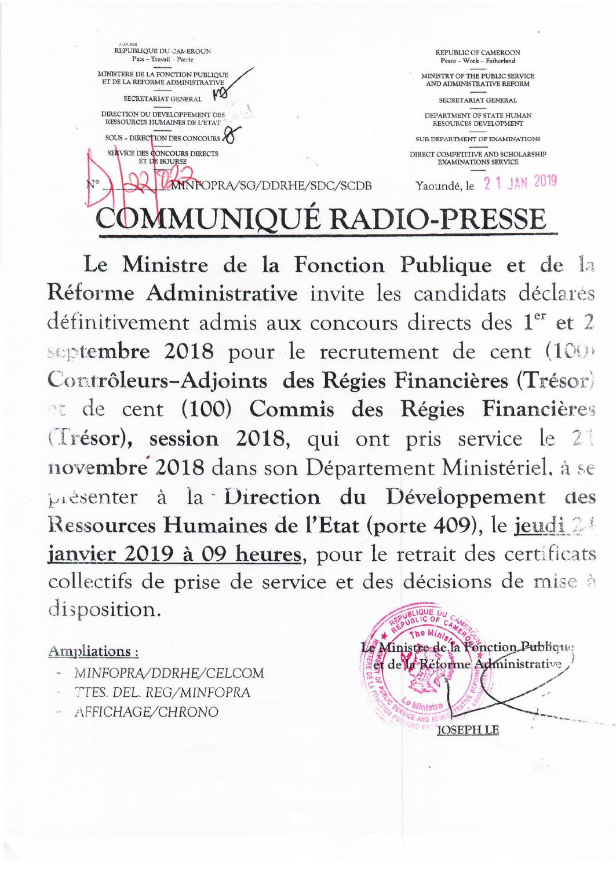

Le Ministre de la Fonction Publique et de la Réforme Administrative invite les candidats déclarés définitivement admis aux concours directs des 1<sup>er</sup> et 2 septembre 2018 pour le recrutement de cent (100) Contrôleurs-Adjoints des Régies Financières (Trésor) et de cent (100) Commis des Régies Financières (Trésor), session 2018, qui ont pris service le 21 novembre 2018 dans son Département Ministériel, à se présenter à la Direction du Développement des Ressources Humaines de l'Etat (porte 409), le jeudi 24 janvier 2019 à 09 heures, pour le retrait des certificats collectifs de prise de service et des décisions de mise à disposition.

## Ampliations:

- MINFOPRA/DDRHE/CELCOM
- TTES. DEL. REG/MINFOPRA
- AFFICHAGE/CHRONO

Ministre de la Fonction Publicu et de la Réforme Administrative **JOSEPH LE**